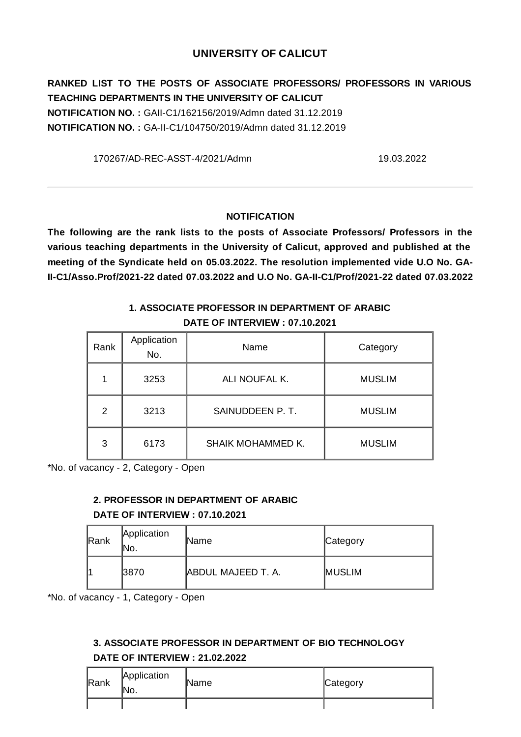### **UNIVERSITY OF CALICUT**

**RANKED LIST TO THE POSTS OF ASSOCIATE PROFESSORS/ PROFESSORS IN VARIOUS TEACHING DEPARTMENTS IN THE UNIVERSITY OF CALICUT NOTIFICATION NO. :** GAII-C1/162156/2019/Admn dated 31.12.2019 **NOTIFICATION NO. :** GA-II-C1/104750/2019/Admn dated 31.12.2019

170267/AD-REC-ASST-4/2021/Admn 19.03.2022

#### **NOTIFICATION**

**The following are the rank lists to the posts of Associate Professors/ Professors in the various teaching departments in the University of Calicut, approved and published at the meeting of the Syndicate held on 05.03.2022. The resolution implemented vide U.O No. GA-II-C1/Asso.Prof/2021-22 dated 07.03.2022 and U.O No. GA-II-C1/Prof/2021-22 dated 07.03.2022**

### **1. ASSOCIATE PROFESSOR IN DEPARTMENT OF ARABIC DATE OF INTERVIEW : 07.10.2021**

| Rank           | Application<br>No. | Name              | Category      |
|----------------|--------------------|-------------------|---------------|
| 1              | 3253               | ALI NOUFAL K.     | <b>MUSLIM</b> |
| $\mathfrak{p}$ | 3213               | SAINUDDEEN P.T.   | <b>MUSLIM</b> |
| 3              | 6173               | SHAIK MOHAMMED K. | <b>MUSLIM</b> |

\*No. of vacancy - 2, Category - Open

#### **2. PROFESSOR IN DEPARTMENT OF ARABIC**

#### **DATE OF INTERVIEW : 07.10.2021**

| Rank | Application<br>'No. | <b>Name</b>        | Category      |
|------|---------------------|--------------------|---------------|
|      | 3870                | ABDUL MAJEED T. A. | <b>MUSLIM</b> |

\*No. of vacancy - 1, Category - Open

# **3. ASSOCIATE PROFESSOR IN DEPARTMENT OF BIO TECHNOLOGY DATE OF INTERVIEW : 21.02.2022**

| Rank | Application<br>Mo. | <b>Name</b> | Category |
|------|--------------------|-------------|----------|
|      |                    |             |          |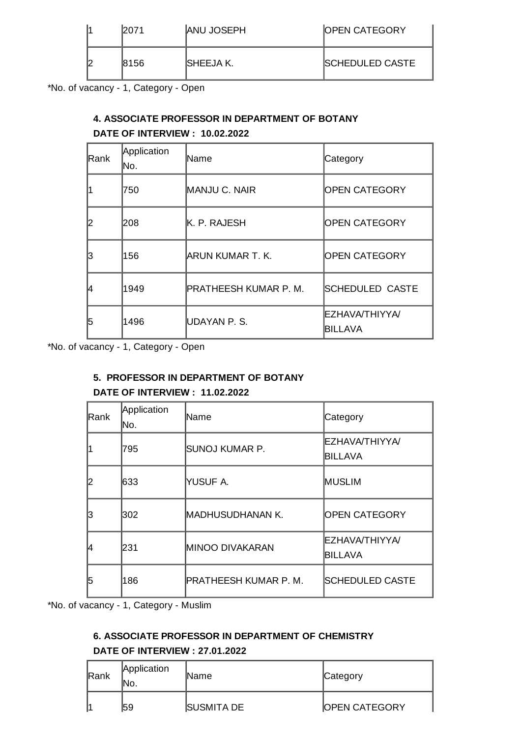|  | 2071 | <b>ANU JOSEPH</b> | <b>OPEN CATEGORY</b>    |
|--|------|-------------------|-------------------------|
|  | 8156 | <b>ISHEEJA K.</b> | <b>ISCHEDULED CASTE</b> |

\*No. of vacancy - 1, Category - Open

# **4. ASSOCIATE PROFESSOR IN DEPARTMENT OF BOTANY**

### **DATE OF INTERVIEW : 10.02.2022**

| IRank | Application<br>No. | lName                        | Category                         |
|-------|--------------------|------------------------------|----------------------------------|
|       | 750                | <b>MANJU C. NAIR</b>         | <b>OPEN CATEGORY</b>             |
|       | 208                | <b>K. P. RAJESH</b>          | <b>OPEN CATEGORY</b>             |
| 3     | 156                | <b>ARUN KUMAR T. K.</b>      | <b>OPEN CATEGORY</b>             |
|       | 1949               | <b>PRATHEESH KUMAR P. M.</b> | <b>SCHEDULED CASTE</b>           |
| 15    | 1496               | UDAYAN P.S.                  | <b>EZHAVA/THIYYA/</b><br>BILLAVA |

\*No. of vacancy - 1, Category - Open

### **5. PROFESSOR IN DEPARTMENT OF BOTANY**

### **DATE OF INTERVIEW : 11.02.2022**

| lRank | Application<br>No. | lName                  | Category                         |
|-------|--------------------|------------------------|----------------------------------|
|       | 795                | ISUNOJ KUMAR P.        | <b>EZHAVA/THIYYA/</b><br>BILLAVA |
| 12    | 633                | YUSUF A.               | <b>IMUSLIM</b>                   |
| 13    | 302                | MADHUSUDHANAN K.       | <b>OPEN CATEGORY</b>             |
| 14    | 1231               | <b>MINOO DIVAKARAN</b> | ΕΖΗΑΛΑ/ΤΗΙΥΥΑ/<br>BILLAVA        |
| 15    | 186                | PRATHEESH KUMAR P. M.  | <b>SCHEDULED CASTE</b>           |

\*No. of vacancy - 1, Category - Muslim

# **6. ASSOCIATE PROFESSOR IN DEPARTMENT OF CHEMISTRY DATE OF INTERVIEW : 27.01.2022**

| Rank | Application<br>INO. | <b>IName</b>      | Category             |
|------|---------------------|-------------------|----------------------|
|      | 159                 | <b>SUSMITA DE</b> | <b>OPEN CATEGORY</b> |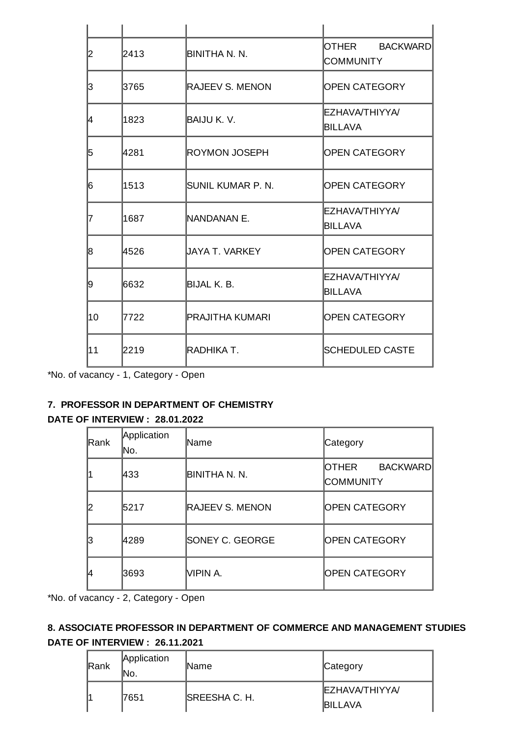| 2  | 2413 | <b>BINITHA N. N.</b>   | OTHER BACKWARD<br><b>COMMUNITY</b>      |
|----|------|------------------------|-----------------------------------------|
| 3  | 3765 | <b>RAJEEV S. MENON</b> | OPEN CATEGORY                           |
| 14 | 1823 | BAIJU K. V.            | ΕΖΗΑΛΑ/ΤΗΙΥΥΑ/<br>BILLAVA               |
| 5  | 4281 | ROYMON JOSEPH          | OPEN CATEGORY                           |
| 16 | 1513 | SUNIL KUMAR P. N.      | OPEN CATEGORY                           |
| 17 | 1687 | NANDANAN E.            | EZHAVA/THIYYA/<br>BILLAVA               |
| 18 | 4526 | UAYA T. VARKEY         | OPEN CATEGORY                           |
| 19 | 6632 | BIJAL K. B.            | <b>EZHAVA/THIYYA/</b><br><b>BILLAVA</b> |
| 10 | 7722 | <b>PRAJITHA KUMARI</b> | <b>OPEN CATEGORY</b>                    |
| 11 | 2219 | IRADHIKA T.            | <b>SCHEDULED CASTE</b>                  |

\*No. of vacancy - 1, Category - Open

### **7. PROFESSOR IN DEPARTMENT OF CHEMISTRY**

### **DATE OF INTERVIEW : 28.01.2022**

| Rank | Application<br>lNo. | lName                  | Category                                      |
|------|---------------------|------------------------|-----------------------------------------------|
|      | 433                 | <b>BINITHA N. N.</b>   | IOTHER<br><b>BACKWARD</b><br><b>COMMUNITY</b> |
|      | 5217                | <b>RAJEEV S. MENON</b> | <b>OPEN CATEGORY</b>                          |
| 13   | 4289                | <b>SONEY C. GEORGE</b> | <b>OPEN CATEGORY</b>                          |
| 14   | 3693                | MPIN A.                | <b>OPEN CATEGORY</b>                          |

\*No. of vacancy - 2, Category - Open

# **8. ASSOCIATE PROFESSOR IN DEPARTMENT OF COMMERCE AND MANAGEMENT STUDIES DATE OF INTERVIEW : 26.11.2021**

| Rank | Application<br>INo. | <b>Name</b>    | Category                                |
|------|---------------------|----------------|-----------------------------------------|
|      | 7651                | ISREESHA C. H. | <b>EZHAVA/THIYYA/</b><br><b>BILLAVA</b> |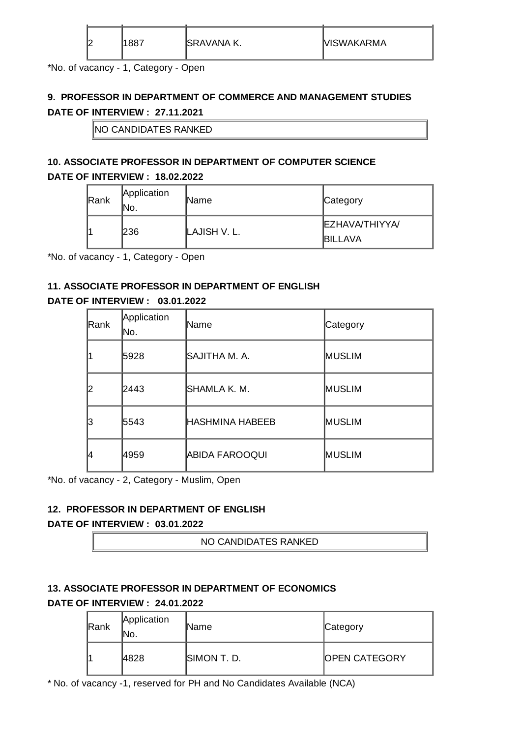| r<br>K | 007ء | ISRAVANA K. | <b>NISWAKARMA</b> |
|--------|------|-------------|-------------------|
|        |      |             |                   |

\*No. of vacancy - 1, Category - Open

# **9. PROFESSOR IN DEPARTMENT OF COMMERCE AND MANAGEMENT STUDIES DATE OF INTERVIEW : 27.11.2021**

NO CANDIDATES RANKED

# **10. ASSOCIATE PROFESSOR IN DEPARTMENT OF COMPUTER SCIENCE**

#### **DATE OF INTERVIEW : 18.02.2022**

| Rank | Application<br>INO. | <b>Name</b>   | Category                                |
|------|---------------------|---------------|-----------------------------------------|
|      | 236                 | ILAJISH V. L. | <b>EZHAVA/THIYYA/</b><br><b>BILLAVA</b> |

\*No. of vacancy - 1, Category - Open

### **11. ASSOCIATE PROFESSOR IN DEPARTMENT OF ENGLISH**

### **DATE OF INTERVIEW : 03.01.2022**

| Rank | Application<br>lNo. | lName                  | Category       |
|------|---------------------|------------------------|----------------|
|      | 5928                | ISAJITHA M. A.         | <b>MUSLIM</b>  |
|      | 2443                | ISHAMLA K. M.          | <b>MUSLIM</b>  |
| 13   | 5543                | <b>HASHMINA HABEEB</b> | <b>IMUSLIM</b> |
| 14   | 4959                | <b>ABIDA FAROOQUI</b>  | <b>MUSLIM</b>  |

\*No. of vacancy - 2, Category - Muslim, Open

#### **12. PROFESSOR IN DEPARTMENT OF ENGLISH**

#### **DATE OF INTERVIEW : 03.01.2022**

NO CANDIDATES RANKED

# **13. ASSOCIATE PROFESSOR IN DEPARTMENT OF ECONOMICS DATE OF INTERVIEW : 24.01.2022**

| <b>Rank</b> | Application<br>۱No. | <b>IName</b> | Category             |
|-------------|---------------------|--------------|----------------------|
|             | 4828                | SIMON T. D.  | <b>OPEN CATEGORY</b> |

\* No. of vacancy -1, reserved for PH and No Candidates Available (NCA)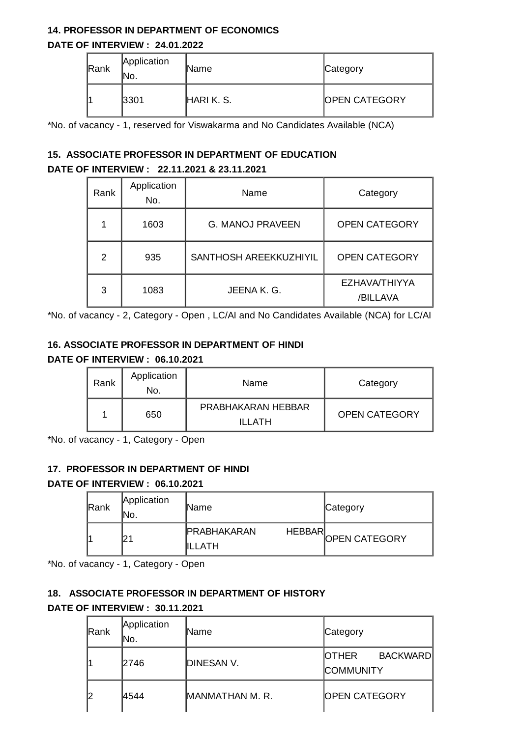#### **14. PROFESSOR IN DEPARTMENT OF ECONOMICS**

#### **DATE OF INTERVIEW : 24.01.2022**

| Rank | Application<br>INo. | <b>Name</b> | Category             |
|------|---------------------|-------------|----------------------|
|      | 3301                | HARI K. S.  | <b>OPEN CATEGORY</b> |

\*No. of vacancy - 1, reserved for Viswakarma and No Candidates Available (NCA)

### **15. ASSOCIATE PROFESSOR IN DEPARTMENT OF EDUCATION DATE OF INTERVIEW : 22.11.2021 & 23.11.2021**

| Rank           | Application<br>No. | Name                    | Category                         |
|----------------|--------------------|-------------------------|----------------------------------|
| 1              | 1603               | <b>G. MANOJ PRAVEEN</b> | <b>OPEN CATEGORY</b>             |
| $\overline{c}$ | 935                | SANTHOSH AREEKKUZHIYIL  | <b>OPEN CATEGORY</b>             |
| 3              | 1083               | JEENA K. G.             | <b>EZHAVA/THIYYA</b><br>/BILLAVA |

\*No. of vacancy - 2, Category - Open , LC/AI and No Candidates Available (NCA) for LC/AI

#### **16. ASSOCIATE PROFESSOR IN DEPARTMENT OF HINDI**

#### **DATE OF INTERVIEW : 06.10.2021**

| Rank | Application<br>No. | Name                           | Category             |
|------|--------------------|--------------------------------|----------------------|
|      | 650                | PRABHAKARAN HEBBAR<br>II I ATH | <b>OPEN CATEGORY</b> |

\*No. of vacancy - 1, Category - Open

#### **17. PROFESSOR IN DEPARTMENT OF HINDI**

#### **DATE OF INTERVIEW : 06.10.2021**

| Rank | Application<br>INo. | <b>IName</b>                                    | Category             |
|------|---------------------|-------------------------------------------------|----------------------|
|      |                     | <b>HEBBAR</b><br><b>IPRABHAKARAN</b><br>IILLATH | <b>OPEN CATEGORY</b> |

\*No. of vacancy - 1, Category - Open

### **18. ASSOCIATE PROFESSOR IN DEPARTMENT OF HISTORY**

#### **DATE OF INTERVIEW : 30.11.2021**

| Rank | Application<br>lNo. | lName           | Category                                              |
|------|---------------------|-----------------|-------------------------------------------------------|
|      | 2746                | DINESAN V.      | <b>IOTHER</b><br><b>BACKWARDI</b><br><b>COMMUNITY</b> |
| 12   | 4544                | MANMATHAN M. R. | <b>OPEN CATEGORY</b>                                  |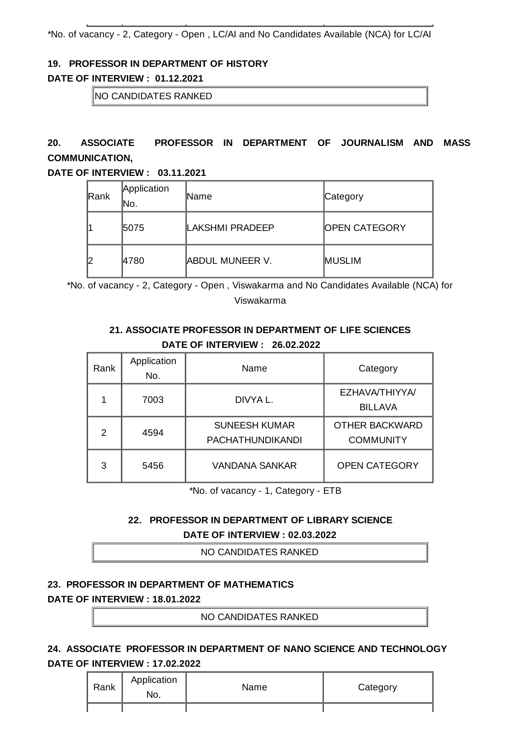\*No. of vacancy - 2, Category - Open , LC/AI and No Candidates Available (NCA) for LC/AI

#### **19. PROFESSOR IN DEPARTMENT OF HISTORY**

#### **DATE OF INTERVIEW : 01.12.2021**

NO CANDIDATES RANKED

# **20. ASSOCIATE PROFESSOR IN DEPARTMENT OF JOURNALISM AND MASS COMMUNICATION,**

#### **DATE OF INTERVIEW : 03.11.2021**

| Rank | Application<br>lNo. | <b>IName</b>           | Category             |
|------|---------------------|------------------------|----------------------|
|      | 5075                | LAKSHMI PRADEEP        | <b>OPEN CATEGORY</b> |
|      | 4780                | <b>ABDUL MUNEER V.</b> | <b>MUSLIM</b>        |

\*No. of vacancy - 2, Category - Open , Viswakarma and No Candidates Available (NCA) for Viswakarma

### **21. ASSOCIATE PROFESSOR IN DEPARTMENT OF LIFE SCIENCES DATE OF INTERVIEW : 26.02.2022**

| Rank | Application<br>No. | Name                                            | Category                                  |
|------|--------------------|-------------------------------------------------|-------------------------------------------|
| 1    | 7003               | DIVYA L.                                        | <b>EZHAVA/THIYYA/</b><br><b>BILLAVA</b>   |
| 2    | 4594               | <b>SUNEESH KUMAR</b><br><b>PACHATHUNDIKANDI</b> | <b>OTHER BACKWARD</b><br><b>COMMUNITY</b> |
| 3    | 5456               | <b>VANDANA SANKAR</b>                           | <b>OPEN CATEGORY</b>                      |

\*No. of vacancy - 1, Category - ETB

### **22. PROFESSOR IN DEPARTMENT OF LIBRARY SCIENCE DATE OF INTERVIEW : 02.03.2022**

NO CANDIDATES RANKED

### **23. PROFESSOR IN DEPARTMENT OF MATHEMATICS**

#### **DATE OF INTERVIEW : 18.01.2022**

NO CANDIDATES RANKED

### **24. ASSOCIATE PROFESSOR IN DEPARTMENT OF NANO SCIENCE AND TECHNOLOGY DATE OF INTERVIEW : 17.02.2022**

| Rank | Application<br>No. | Name | Category |
|------|--------------------|------|----------|
|      |                    |      |          |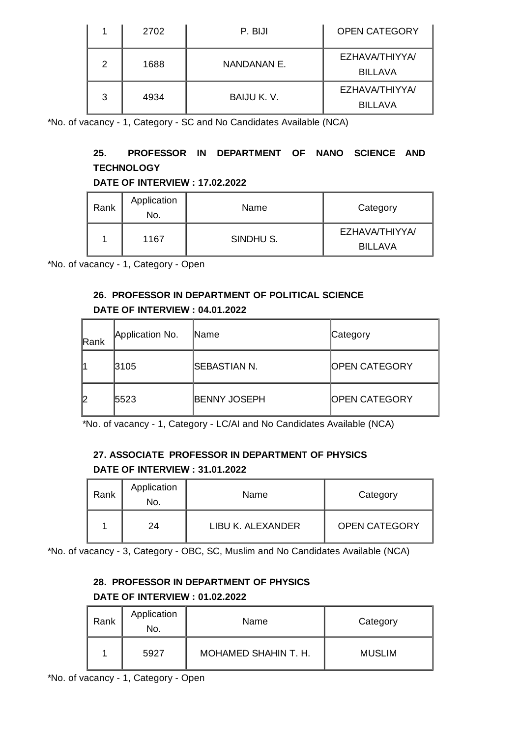| 1 | 2702 | P. BIJI     | <b>OPEN CATEGORY</b>             |
|---|------|-------------|----------------------------------|
| 2 | 1688 | NANDANAN E. | EZHAVA/THIYYA/<br><b>BILLAVA</b> |
| 3 | 4934 | BAIJU K.V.  | EZHAVA/THIYYA/<br><b>BILLAVA</b> |

\*No. of vacancy - 1, Category - SC and No Candidates Available (NCA)

### **25. PROFESSOR IN DEPARTMENT OF NANO SCIENCE AND TECHNOLOGY**

### **DATE OF INTERVIEW : 17.02.2022**

| Rank | Application<br>No. | Name      | Category                                |
|------|--------------------|-----------|-----------------------------------------|
|      | 1167               | SINDHU S. | <b>EZHAVA/THIYYA/</b><br><b>BILLAVA</b> |

\*No. of vacancy - 1, Category - Open

# **26. PROFESSOR IN DEPARTMENT OF POLITICAL SCIENCE DATE OF INTERVIEW : 04.01.2022**

| Rank | Application No. | <b>Name</b>         | Category              |
|------|-----------------|---------------------|-----------------------|
|      | 3105            | <b>SEBASTIAN N.</b> | <b>IOPEN CATEGORY</b> |
|      | 5523            | <b>BENNY JOSEPH</b> | <b>IOPEN CATEGORY</b> |

\*No. of vacancy - 1, Category - LC/AI and No Candidates Available (NCA)

### **27. ASSOCIATE PROFESSOR IN DEPARTMENT OF PHYSICS DATE OF INTERVIEW : 31.01.2022**

| Rank | Application<br>No. | Name              | Category             |
|------|--------------------|-------------------|----------------------|
|      | 24                 | LIBU K. ALEXANDER | <b>OPEN CATEGORY</b> |

\*No. of vacancy - 3, Category - OBC, SC, Muslim and No Candidates Available (NCA)

# **28. PROFESSOR IN DEPARTMENT OF PHYSICS DATE OF INTERVIEW : 01.02.2022**

| Rank | Application<br>No. | Name                 | Category      |
|------|--------------------|----------------------|---------------|
|      | 5927               | MOHAMED SHAHIN T. H. | <b>MUSLIM</b> |